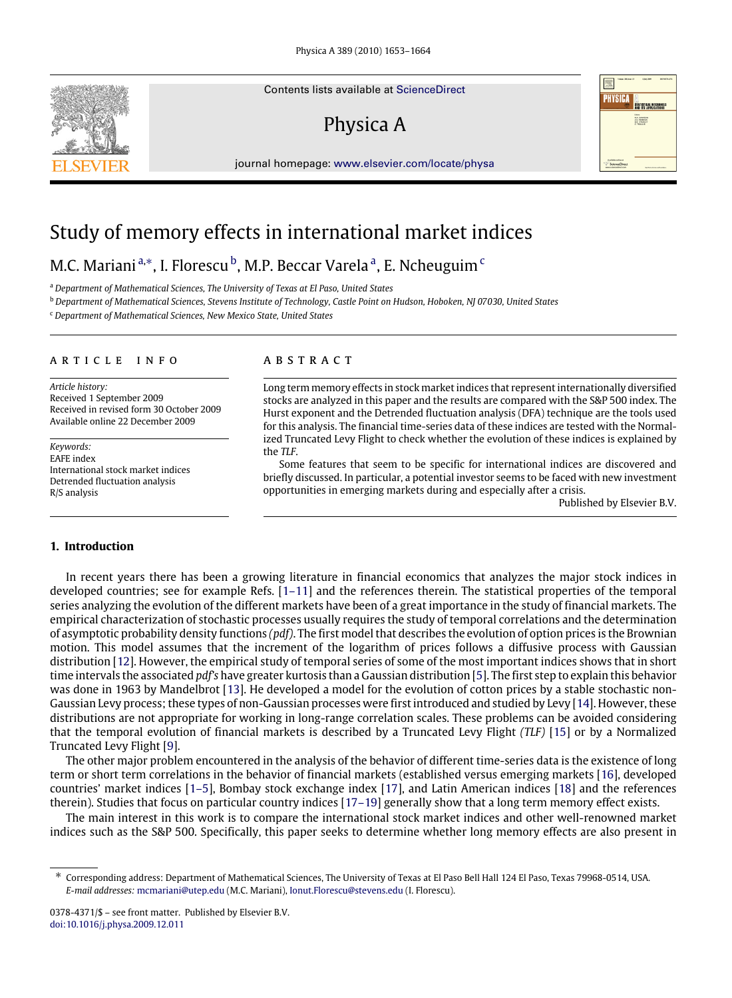Contents lists available at [ScienceDirect](http://www.elsevier.com/locate/physa)

# Physica A

journal homepage: [www.elsevier.com/locate/physa](http://www.elsevier.com/locate/physa)



## Study of memory effects in international market indices

### M.C. Mariani <sup>[a,](#page-0-0)[∗](#page-0-1)</sup>, I. Florescu <sup>[b](#page-0-2)</sup>, M.P. Becc[a](#page-0-0)r Varela <sup>a</sup>, E. N[c](#page-0-3)heuguim <sup>c</sup>

<span id="page-0-0"></span><sup>a</sup> *Department of Mathematical Sciences, The University of Texas at El Paso, United States*

<span id="page-0-2"></span><sup>b</sup> *Department of Mathematical Sciences, Stevens Institute of Technology, Castle Point on Hudson, Hoboken, NJ 07030, United States*

<span id="page-0-3"></span><sup>c</sup> *Department of Mathematical Sciences, New Mexico State, United States*

#### ARTICLE INFO

*Article history:* Received 1 September 2009 Received in revised form 30 October 2009 Available online 22 December 2009

*Keywords:* EAFE index International stock market indices Detrended fluctuation analysis R/S analysis

### A B S T R A C T

Long term memory effects in stock market indices that represent internationally diversified stocks are analyzed in this paper and the results are compared with the S&P 500 index. The Hurst exponent and the Detrended fluctuation analysis (DFA) technique are the tools used for this analysis. The financial time-series data of these indices are tested with the Normalized Truncated Levy Flight to check whether the evolution of these indices is explained by the *TLF*.

Some features that seem to be specific for international indices are discovered and briefly discussed. In particular, a potential investor seems to be faced with new investment opportunities in emerging markets during and especially after a crisis.

Published by Elsevier B.V.

### **1. Introduction**

In recent years there has been a growing literature in financial economics that analyzes the major stock indices in developed countries; see for example Refs. [\[1–11\]](#page--1-0) and the references therein. The statistical properties of the temporal series analyzing the evolution of the different markets have been of a great importance in the study of financial markets. The empirical characterization of stochastic processes usually requires the study of temporal correlations and the determination of asymptotic probability density functions *(pdf)*. The first model that describes the evolution of option prices is the Brownian motion. This model assumes that the increment of the logarithm of prices follows a diffusive process with Gaussian distribution [\[12\]](#page--1-1). However, the empirical study of temporal series of some of the most important indices shows that in short time intervals the associated *pdf's* have greater kurtosis than a Gaussian distribution [\[5\]](#page--1-2). The first step to explain this behavior was done in 1963 by Mandelbrot [\[13\]](#page--1-3). He developed a model for the evolution of cotton prices by a stable stochastic non-Gaussian Levy process; these types of non-Gaussian processes were first introduced and studied by Levy [\[14\]](#page--1-4). However, these distributions are not appropriate for working in long-range correlation scales. These problems can be avoided considering that the temporal evolution of financial markets is described by a Truncated Levy Flight *(TLF)* [\[15\]](#page--1-5) or by a Normalized Truncated Levy Flight [\[9\]](#page--1-6).

The other major problem encountered in the analysis of the behavior of different time-series data is the existence of long term or short term correlations in the behavior of financial markets (established versus emerging markets [\[16\]](#page--1-7), developed countries' market indices [\[1–5\]](#page--1-0), Bombay stock exchange index [\[17\]](#page--1-8), and Latin American indices [\[18\]](#page--1-9) and the references therein). Studies that focus on particular country indices [\[17–19\]](#page--1-8) generally show that a long term memory effect exists.

The main interest in this work is to compare the international stock market indices and other well-renowned market indices such as the S&P 500. Specifically, this paper seeks to determine whether long memory effects are also present in

<span id="page-0-1"></span><sup>∗</sup> Corresponding address: Department of Mathematical Sciences, The University of Texas at El Paso Bell Hall 124 El Paso, Texas 79968-0514, USA. *E-mail addresses:* [mcmariani@utep.edu](mailto:mcmariani@utep.edu) (M.C. Mariani), [Ionut.Florescu@stevens.edu](mailto:Ionut.Florescu@stevens.edu) (I. Florescu).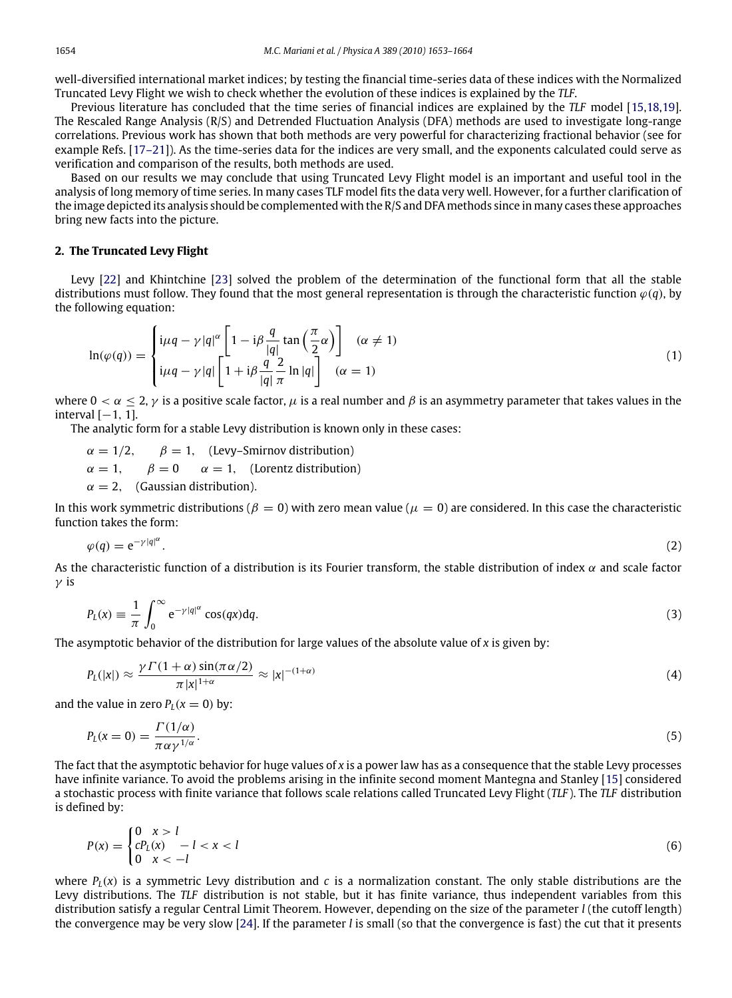well-diversified international market indices; by testing the financial time-series data of these indices with the Normalized Truncated Levy Flight we wish to check whether the evolution of these indices is explained by the *TLF*.

Previous literature has concluded that the time series of financial indices are explained by the *TLF* model [\[15](#page--1-5)[,18,](#page--1-9)[19\]](#page--1-10). The Rescaled Range Analysis (R/S) and Detrended Fluctuation Analysis (DFA) methods are used to investigate long-range correlations. Previous work has shown that both methods are very powerful for characterizing fractional behavior (see for example Refs. [\[17–21\]](#page--1-8)). As the time-series data for the indices are very small, and the exponents calculated could serve as verification and comparison of the results, both methods are used.

Based on our results we may conclude that using Truncated Levy Flight model is an important and useful tool in the analysis of long memory of time series. In many cases TLF model fits the data very well. However, for a further clarification of the image depicted its analysis should be complemented with the R/S and DFA methods since in many cases these approaches bring new facts into the picture.

#### **2. The Truncated Levy Flight**

Levy [\[22\]](#page--1-11) and Khintchine [\[23\]](#page--1-12) solved the problem of the determination of the functional form that all the stable distributions must follow. They found that the most general representation is through the characteristic function  $\varphi(q)$ , by the following equation:

$$
\ln(\varphi(q)) = \begin{cases} i\mu q - \gamma |q|^\alpha \left[ 1 - i\beta \frac{q}{|q|} \tan\left(\frac{\pi}{2}\alpha\right) \right] & (\alpha \neq 1) \\ i\mu q - \gamma |q| \left[ 1 + i\beta \frac{q}{|q|} \frac{2}{\pi} \ln |q| \right] & (\alpha = 1) \end{cases}
$$
(1)

where  $0 < \alpha < 2$ ,  $\gamma$  is a positive scale factor,  $\mu$  is a real number and  $\beta$  is an asymmetry parameter that takes values in the interval  $[-1, 1]$ .

The analytic form for a stable Levy distribution is known only in these cases:

 $\alpha = 1/2$ ,  $\beta = 1$ , (Levy–Smirnov distribution)  $\alpha = 1, \quad \beta = 0 \quad \alpha = 1,$  (Lorentz distribution)  $\alpha = 2$ , (Gaussian distribution).

In this work symmetric distributions ( $\beta = 0$ ) with zero mean value ( $\mu = 0$ ) are considered. In this case the characteristic function takes the form:

$$
\varphi(q) = e^{-\gamma|q|^{\alpha}}.
$$

As the characteristic function of a distribution is its Fourier transform, the stable distribution of index  $\alpha$  and scale factor  $γ$  is

$$
P_L(x) \equiv \frac{1}{\pi} \int_0^\infty e^{-\gamma |q|^\alpha} \cos(qx) dq.
$$
 (3)

The asymptotic behavior of the distribution for large values of the absolute value of *x* is given by:

$$
P_L(|x|) \approx \frac{\gamma \Gamma(1+\alpha) \sin(\pi \alpha/2)}{\pi |x|^{1+\alpha}} \approx |x|^{-(1+\alpha)} \tag{4}
$$

and the value in zero  $P_L(x = 0)$  by:

 $\sim$ 

$$
P_L(x=0) = \frac{\Gamma(1/\alpha)}{\pi \alpha \gamma^{1/\alpha}}.\tag{5}
$$

The fact that the asymptotic behavior for huge values of *x* is a power law has as a consequence that the stable Levy processes have infinite variance. To avoid the problems arising in the infinite second moment Mantegna and Stanley [\[15\]](#page--1-5) considered a stochastic process with finite variance that follows scale relations called Truncated Levy Flight (*TLF* ). The *TLF* distribution is defined by:

$$
P(x) = \begin{cases} 0 & x > l \\ cP_L(x) & -l < x < l \\ 0 & x < -l \end{cases}
$$
 (6)

where  $P_l(x)$  is a symmetric Levy distribution and *c* is a normalization constant. The only stable distributions are the Levy distributions. The *TLF* distribution is not stable, but it has finite variance, thus independent variables from this distribution satisfy a regular Central Limit Theorem. However, depending on the size of the parameter *l* (the cutoff length) the convergence may be very slow [\[24\]](#page--1-13). If the parameter *l* is small (so that the convergence is fast) the cut that it presents